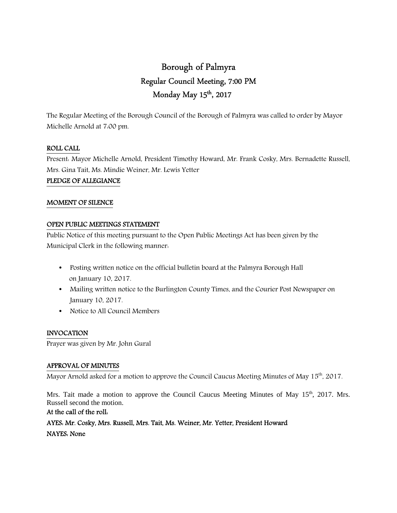# Borough of Palmyra Regular Council Meeting, 7:00 PM Monday May 15<sup>th</sup>, 2017

The Regular Meeting of the Borough Council of the Borough of Palmyra was called to order by Mayor Michelle Arnold at 7:00 pm.

#### ROLL CALL

Present: Mayor Michelle Arnold, President Timothy Howard, Mr. Frank Cosky, Mrs. Bernadette Russell, Mrs. Gina Tait, Ms. Mindie Weiner, Mr. Lewis Yetter

#### PLEDGE OF ALLEGIANCE

#### MOMENT OF SILENCE

#### OPEN PUBLIC MEETINGS STATEMENT

Public Notice of this meeting pursuant to the Open Public Meetings Act has been given by the Municipal Clerk in the following manner:

- Posting written notice on the official bulletin board at the Palmyra Borough Hall on January 10, 2017.
- Mailing written notice to the Burlington County Times, and the Courier Post Newspaper on January 10, 2017.
- Notice to All Council Members

#### INVOCATION

Prayer was given by Mr. John Gural

## APPROVAL OF MINUTES

Mayor Arnold asked for a motion to approve the Council Caucus Meeting Minutes of May 15<sup>th</sup>, 2017.

Mrs. Tait made a motion to approve the Council Caucus Meeting Minutes of May 15<sup>th</sup>, 2017. Mrs. Russell second the motion.

#### At the call of the roll:

AYES: Mr. Cosky, Mrs. Russell, Mrs. Tait, Ms. Weiner, Mr. Yetter, President Howard

NAYES: None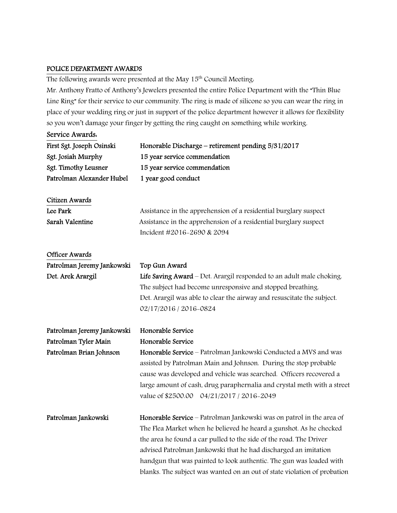## POLICE DEPARTMENT AWARDS

The following awards were presented at the May  $15<sup>th</sup>$  Council Meeting.

Mr. Anthony Fratto of Anthony's Jewelers presented the entire Police Department with the "Thin Blue Line Ring" for their service to our community. The ring is made of silicone so you can wear the ring in place of your wedding ring or just in support of the police department however it allows for flexibility so you won't damage your finger by getting the ring caught on something while working.

# Service Awards.

| First Sgt. Joseph Osinski  | Honorable Discharge – retirement pending $5/31/2017$                    |
|----------------------------|-------------------------------------------------------------------------|
| Sgt. Josiah Murphy         | 15 year service commendation                                            |
| Sgt. Timothy Leusner       | 15 year service commendation                                            |
| Patrolman Alexander Hubel  | 1 year good conduct                                                     |
| Citizen Awards             |                                                                         |
| Lee Park                   | Assistance in the apprehension of a residential burglary suspect        |
| Sarah Valentine            | Assistance in the apprehension of a residential burglary suspect        |
|                            | Incident #2016-2690 & 2094                                              |
| <b>Officer Awards</b>      |                                                                         |
| Patrolman Jeremy Jankowski | Top Gun Award                                                           |
| Det. Arek Arargil          | Life Saving Award - Det. Arargil responded to an adult male choking.    |
|                            | The subject had become unresponsive and stopped breathing.              |
|                            | Det. Arargil was able to clear the airway and resuscitate the subject.  |
|                            | 02/17/2016 / 2016-0824                                                  |
| Patrolman Jeremy Jankowski | Honorable Service                                                       |
| Patrolman Tyler Main       | Honorable Service                                                       |
| Patrolman Brian Johnson    | Honorable Service - Patrolman Jankowski Conducted a MVS and was         |
|                            | assisted by Patrolman Main and Johnson. During the stop probable        |
|                            | cause was developed and vehicle was searched. Officers recovered a      |
|                            | large amount of cash, drug paraphernalia and crystal meth with a street |
|                            | value of \$2500.00 04/21/2017 / 2016-2049                               |
| Patrolman Jankowski        | Honorable Service - Patrolman Jankowski was on patrol in the area of    |
|                            | The Flea Market when he believed he heard a gunshot. As he checked      |
|                            | the area he found a car pulled to the side of the road. The Driver      |
|                            | advised Patrolman Jankowski that he had discharged an imitation         |
|                            | handgun that was painted to look authentic. The gun was loaded with     |

blanks. The subject was wanted on an out of state violation of probation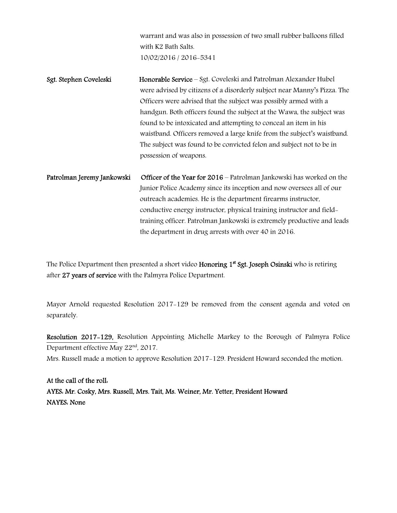warrant and was also in possession of two small rubber balloons filled with K2 Bath Salts. 10/02/2016 / 2016-5341

- Sgt. Stephen Coveleski Honorable Service Sgt. Coveleski and Patrolman Alexander Hubel were advised by citizens of a disorderly subject near Manny's Pizza. The Officers were advised that the subject was possibly armed with a handgun. Both officers found the subject at the Wawa, the subject was found to be intoxicated and attempting to conceal an item in his waistband. Officers removed a large knife from the subject's waistband. The subject was found to be convicted felon and subject not to be in possession of weapons.
- Patrolman Jeremy Jankowski Officer of the Year for 2016 Patrolman Jankowski has worked on the Junior Police Academy since its inception and now oversees all of our outreach academies. He is the department firearms instructor, conductive energy instructor, physical training instructor and fieldtraining officer. Patrolman Jankowski is extremely productive and leads the department in drug arrests with over 40 in 2016.

The Police Department then presented a short video **Honoring 1<sup>st</sup> Sgt. Joseph Osinski** who is retiring after 27 years of service with the Palmyra Police Department.

Mayor Arnold requested Resolution 2017-129 be removed from the consent agenda and voted on separately.

Resolution 2017-129, Resolution Appointing Michelle Markey to the Borough of Palmyra Police Department effective May 22<sup>nd</sup>, 2017.

Mrs. Russell made a motion to approve Resolution 2017-129. President Howard seconded the motion.

At the call of the roll: AYES: Mr. Cosky, Mrs. Russell, Mrs. Tait, Ms. Weiner, Mr. Yetter, President Howard NAYES: None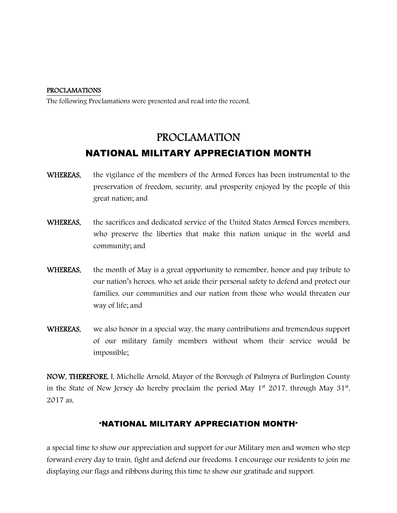#### PROCLAMATIONS

The following Proclamations were presented and read into the record,

# PROCLAMATION NATIONAL MILITARY APPRECIATION MONTH

- WHEREAS, the vigilance of the members of the Armed Forces has been instrumental to the preservation of freedom, security, and prosperity enjoyed by the people of this great nation; and
- WHEREAS, the sacrifices and dedicated service of the United States Armed Forces members, who preserve the liberties that make this nation unique in the world and community; and
- WHEREAS, the month of May is a great opportunity to remember, honor and pay tribute to our nation's heroes, who set aside their personal safety to defend and protect our families, our communities and our nation from those who would threaten our way of life; and
- WHEREAS, we also honor in a special way, the many contributions and tremendous support of our military family members without whom their service would be impossible;

NOW, THEREFORE, I, Michelle Arnold, Mayor of the Borough of Palmyra of Burlington County in the State of New Jersey do hereby proclaim the period May  $1<sup>st</sup>$  2017, through May  $31<sup>st</sup>$ , 2017 as,

# "NATIONAL MILITARY APPRECIATION MONTH"

a special time to show our appreciation and support for our Military men and women who step forward every day to train, fight and defend our freedoms. I encourage our residents to join me displaying our flags and ribbons during this time to show our gratitude and support.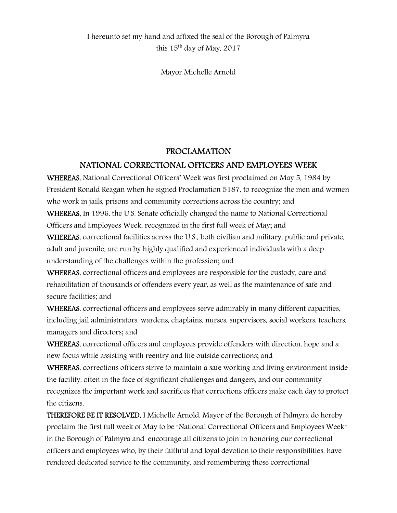Mayor Michelle Arnold

# PROCLAMATION

# NATIONAL CORRECTIONAL OFFICERS AND EMPLOYEES WEEK

WHEREAS, National Correctional Officers' Week was first proclaimed on May 5, 1984 by President Ronald Reagan when he signed Proclamation 5187, to recognize the men and women who work in jails, prisons and community corrections across the country; and WHEREAS, In 1996, the U.S. Senate officially changed the name to National Correctional Officers and Employees Week, recognized in the first full week of May; and

WHEREAS, correctional facilities across the U.S., both civilian and military, public and private, adult and juvenile, are run by highly qualified and experienced individuals with a deep understanding of the challenges within the profession; and

WHEREAS, correctional officers and employees are responsible for the custody, care and rehabilitation of thousands of offenders every year, as well as the maintenance of safe and secure facilities; and

WHEREAS, correctional officers and employees serve admirably in many different capacities, including jail administrators, wardens, chaplains, nurses, supervisors, social workers, teachers, managers and directors; and

WHEREAS, correctional officers and employees provide offenders with direction, hope and a new focus while assisting with reentry and life outside corrections; and

WHEREAS, corrections officers strive to maintain a safe working and living environment inside the facility, often in the face of significant challenges and dangers, and our community recognizes the important work and sacrifices that corrections officers make each day to protect the citizens,

THEREFORE BE IT RESOLVED, I Michelle Arnold, Mayor of the Borough of Palmyra do hereby proclaim the first full week of May to be "National Correctional Officers and Employees Week" in the Borough of Palmyra and encourage all citizens to join in honoring our correctional officers and employees who, by their faithful and loyal devotion to their responsibilities, have rendered dedicated service to the community, and remembering those correctional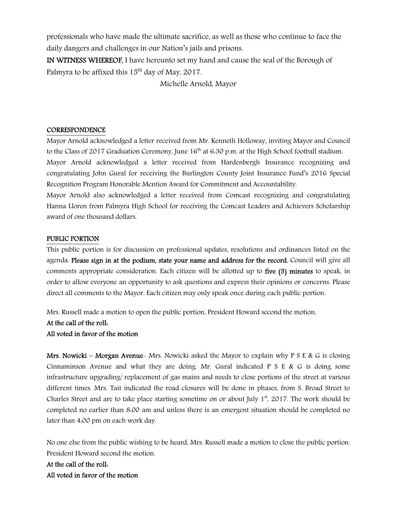professionals who have made the ultimate sacrifice, as well as those who continue to face the daily dangers and challenges in our Nation's jails and prisons.

IN WITNESS WHEREOF, I have hereunto set my hand and cause the seal of the Borough of Palmyra to be affixed this  $15<sup>th</sup>$  day of May, 2017.

Michelle Arnold, Mayor

## **CORRESPONDENCE**

Mayor Arnold acknowledged a letter received from Mr. Kenneth Holloway, inviting Mayor and Council to the Class of 2017 Graduation Ceremony, June 16<sup>th</sup> at 6:30 p.m. at the High School football stadium. Mayor Arnold acknowledged a letter received from Hardenbergh Insurance recognizing and congratulating John Gural for receiving the Burlington County Joint Insurance Fund's 2016 Special Recognition Program Honorable Mention Award for Commitment and Accountability.

Mayor Arnold also acknowledged a letter received from Comcast recognizing and congratulating Hanna Lloren from Palmyra High School for receiving the Comcast Leaders and Achievers Scholarship award of one thousand dollars.

#### PUBLIC PORTION

This public portion is for discussion on professional updates, resolutions and ordinances listed on the agenda. Please sign in at the podium, state your name and address for the record. Council will give all comments appropriate consideration. Each citizen will be allotted up to five (5) minutes to speak, in order to allow everyone an opportunity to ask questions and express their opinions or concerns. Please direct all comments to the Mayor. Each citizen may only speak once during each public portion.

Mrs. Russell made a motion to open the public portion, President Howard second the motion.

At the call of the roll:

## All voted in favor of the motion

Mrs. Nowicki – Morgan Avenue- Mrs. Nowicki asked the Mayor to explain why P S E & G is closing Cinnaminson Avenue and what they are doing. Mr. Gural indicated  $P S E & G$  is doing some infrastructure upgrading/ replacement of gas mains and needs to close portions of the street at various different times. Mrs. Tait indicated the road closures will be done in phases, from S. Broad Street to Charles Street and are to take place starting sometime on or about July  $1<sup>st</sup>$ , 2017. The work should be completed no earlier than 8:00 am and unless there is an emergent situation should be completed no later than 4:00 pm on each work day.

No one else from the public wishing to be heard, Mrs. Russell made a motion to close the public portion. President Howard second the motion.

At the call of the roll: All voted in favor of the motion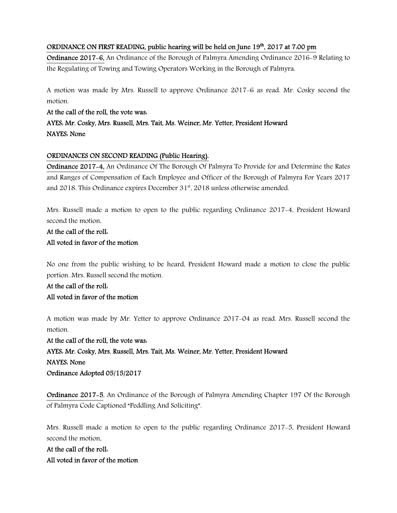## ORDINANCE ON FIRST READING, public hearing will be held on June  $19<sup>th</sup>$ , 2017 at 7.00 pm

Ordinance 2017-6, An Ordinance of the Borough of Palmyra Amending Ordinance 2016-9 Relating to the Regulating of Towing and Towing Operators Working in the Borough of Palmyra.

A motion was made by Mrs. Russell to approve Ordinance 2017-6 as read. Mr. Cosky second the motion.

#### At the call of the roll, the vote was:

# AYES: Mr. Cosky, Mrs. Russell, Mrs. Tait, Ms. Weiner, Mr. Yetter, President Howard NAYES: None

#### ORDINANCES ON SECOND READING (Public Hearing).

Ordinance 2017-4, An Ordinance Of The Borough Of Palmyra To Provide for and Determine the Rates and Ranges of Compensation of Each Employee and Officer of the Borough of Palmyra For Years 2017 and 2018. This Ordinance expires December  $31<sup>st</sup>$ , 2018 unless otherwise amended.

Mrs. Russell made a motion to open to the public regarding Ordinance 2017-4, President Howard second the motion.

# At the call of the roll: All voted in favor of the motion

No one from the public wishing to be heard, President Howard made a motion to close the public portion. Mrs. Russell second the motion.

## At the call of the roll:

# All voted in favor of the motion

A motion was made by Mr. Yetter to approve Ordinance 2017-04 as read. Mrs. Russell second the motion.

At the call of the roll, the vote was: AYES: Mr. Cosky, Mrs. Russell, Mrs. Tait, Ms. Weiner, Mr. Yetter, President Howard NAYES: None Ordinance Adopted 05/15/2017

Ordinance 2017-5, An Ordinance of the Borough of Palmyra Amending Chapter 197 Of the Borough of Palmyra Code Captioned "Peddling And Soliciting".

Mrs. Russell made a motion to open to the public regarding Ordinance 2017-5, President Howard second the motion.

At the call of the roll: All voted in favor of the motion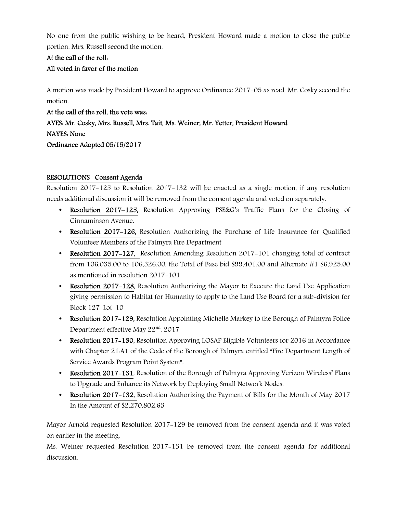No one from the public wishing to be heard, President Howard made a motion to close the public portion. Mrs. Russell second the motion.

# At the call of the roll:

# All voted in favor of the motion

A motion was made by President Howard to approve Ordinance 2017-05 as read. Mr. Cosky second the motion.

At the call of the roll, the vote was: AYES: Mr. Cosky, Mrs. Russell, Mrs. Tait, Ms. Weiner, Mr. Yetter, President Howard NAYES: None Ordinance Adopted 05/15/2017

## RESOLUTIONS Consent Agenda

Resolution 2017-125 to Resolution 2017-132 will be enacted as a single motion, if any resolution needs additional discussion it will be removed from the consent agenda and voted on separately.

- Resolution 2017–125, Resolution Approving PSE&G's Traffic Plans for the Closing of Cinnaminson Avenue.
- Resolution 2017-126, Resolution Authorizing the Purchase of Life Insurance for Qualified Volunteer Members of the Palmyra Fire Department
- Resolution 2017–127, Resolution Amending Resolution 2017–101 changing total of contract from 106,035.00 to 106,326.00, the Total of Base bid \$99,401.00 and Alternate #1 \$6,925.00 as mentioned in resolution 2017-101
- Resolution 2017–128, Resolution Authorizing the Mayor to Execute the Land Use Application giving permission to Habitat for Humanity to apply to the Land Use Board for a sub-division for Block 127 Lot 10
- Resolution 2017–129, Resolution Appointing Michelle Markey to the Borough of Palmyra Police Department effective May  $22<sup>nd</sup>$ , 2017
- Resolution 2017–130, Resolution Approving LOSAP Eligible Volunteers for 2016 in Accordance with Chapter 21:A1 of the Code of the Borough of Palmyra entitled "Fire Department Length of Service Awards Program Point System".
- Resolution 2017–131, Resolution of the Borough of Palmyra Approving Verizon Wireless' Plans to Upgrade and Enhance its Network by Deploying Small Network Nodes.
- **Resolution 2017–132, Resolution Authorizing the Payment of Bills for the Month of May 2017** In the Amount of \$2,270,802.63

Mayor Arnold requested Resolution 2017-129 be removed from the consent agenda and it was voted on earlier in the meeting.

Ms. Weiner requested Resolution 2017-131 be removed from the consent agenda for additional discussion.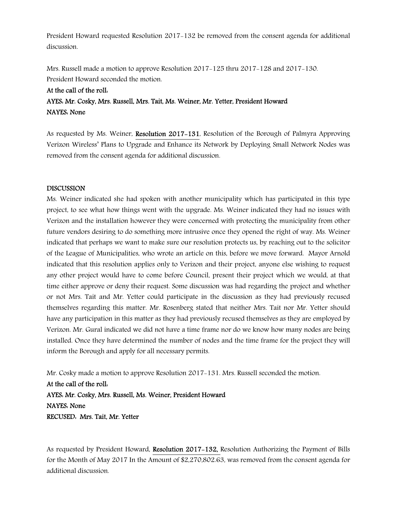President Howard requested Resolution 2017-132 be removed from the consent agenda for additional discussion.

Mrs. Russell made a motion to approve Resolution 2017-125 thru 2017-128 and 2017-130. President Howard seconded the motion.

# At the call of the roll: AYES: Mr. Cosky, Mrs. Russell, Mrs. Tait, Ms. Weiner, Mr. Yetter, President Howard NAYES: None

As requested by Ms. Weiner, Resolution 2017–131, Resolution of the Borough of Palmyra Approving Verizon Wireless' Plans to Upgrade and Enhance its Network by Deploying Small Network Nodes was removed from the consent agenda for additional discussion.

#### **DISCUSSION**

Ms. Weiner indicated she had spoken with another municipality which has participated in this type project, to see what how things went with the upgrade. Ms. Weiner indicated they had no issues with Verizon and the installation however they were concerned with protecting the municipality from other future vendors desiring to do something more intrusive once they opened the right of way. Ms. Weiner indicated that perhaps we want to make sure our resolution protects us, by reaching out to the solicitor of the League of Municipalities, who wrote an article on this, before we move forward. Mayor Arnold indicated that this resolution applies only to Verizon and their project, anyone else wishing to request any other project would have to come before Council, present their project which we would, at that time either approve or deny their request. Some discussion was had regarding the project and whether or not Mrs. Tait and Mr. Yetter could participate in the discussion as they had previously recused themselves regarding this matter. Mr. Rosenberg stated that neither Mrs. Tait nor Mr. Yetter should have any participation in this matter as they had previously recused themselves as they are employed by Verizon. Mr. Gural indicated we did not have a time frame nor do we know how many nodes are being installed. Once they have determined the number of nodes and the time frame for the project they will inform the Borough and apply for all necessary permits.

Mr. Cosky made a motion to approve Resolution 2017-131. Mrs. Russell seconded the motion.

At the call of the roll: AYES: Mr. Cosky, Mrs. Russell, Ms. Weiner, President Howard NAYES: None RECUSED: Mrs. Tait, Mr. Yetter

As requested by President Howard, Resolution 2017-132, Resolution Authorizing the Payment of Bills for the Month of May 2017 In the Amount of \$2,270,802.63, was removed from the consent agenda for additional discussion.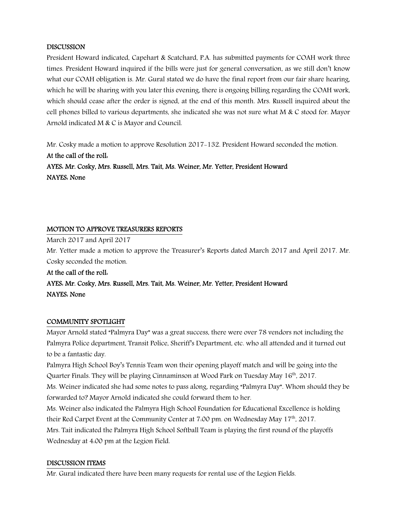## **DISCUSSION**

President Howard indicated, Capehart & Scatchard, P.A. has submitted payments for COAH work three times. President Howard inquired if the bills were just for general conversation, as we still don't know what our COAH obligation is. Mr. Gural stated we do have the final report from our fair share hearing, which he will be sharing with you later this evening, there is ongoing billing regarding the COAH work, which should cease after the order is signed, at the end of this month. Mrs. Russell inquired about the cell phones billed to various departments, she indicated she was not sure what  $M \& C$  stood for. Mayor Arnold indicated M & C is Mayor and Council.

Mr. Cosky made a motion to approve Resolution 2017-132. President Howard seconded the motion. At the call of the roll: AYES: Mr. Cosky, Mrs. Russell, Mrs. Tait, Ms. Weiner, Mr. Yetter, President Howard NAYES: None

#### MOTION TO APPROVE TREASURERS REPORTS

March 2017 and April 2017

Mr. Yetter made a motion to approve the Treasurer's Reports dated March 2017 and April 2017. Mr. Cosky seconded the motion.

At the call of the roll: AYES: Mr. Cosky, Mrs. Russell, Mrs. Tait, Ms. Weiner, Mr. Yetter, President Howard NAYES: None

#### COMMUNITY SPOTLIGHT

Mayor Arnold stated "Palmyra Day" was a great success, there were over 78 vendors not including the Palmyra Police department, Transit Police, Sheriff's Department, etc. who all attended and it turned out to be a fantastic day.

Palmyra High School Boy's Tennis Team won their opening playoff match and will be going into the Quarter Finals. They will be playing Cinnaminson at Wood Park on Tuesday May 16<sup>th</sup>, 2017.

Ms. Weiner indicated she had some notes to pass along, regarding "Palmyra Day". Whom should they be forwarded to? Mayor Arnold indicated she could forward them to her.

Ms. Weiner also indicated the Palmyra High School Foundation for Educational Excellence is holding their Red Carpet Event at the Community Center at  $7.00$  pm. on Wednesday May  $17<sup>th</sup>$ , 2017. Mrs. Tait indicated the Palmyra High School Softball Team is playing the first round of the playoffs Wednesday at 4:00 pm at the Legion Field.

## DISCUSSION ITEMS

Mr. Gural indicated there have been many requests for rental use of the Legion Fields.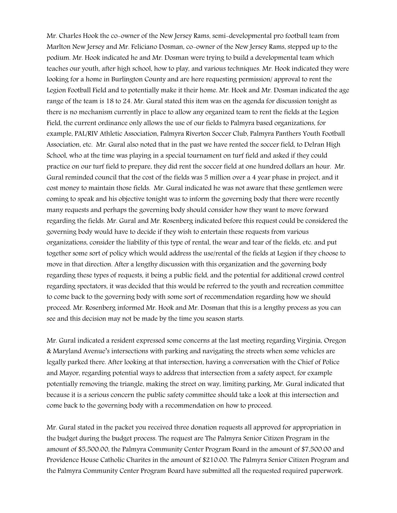Mr. Charles Hook the co-owner of the New Jersey Rams, semi-developmental pro football team from Marlton New Jersey and Mr. Feliciano Dosman, co-owner of the New Jersey Rams, stepped up to the podium. Mr. Hook indicated he and Mr. Dosman were trying to build a developmental team which teaches our youth, after high school, how to play, and various techniques. Mr. Hook indicated they were looking for a home in Burlington County and are here requesting permission/ approval to rent the Legion Football Field and to potentially make it their home. Mr. Hook and Mr. Dosman indicated the age range of the team is 18 to 24. Mr. Gural stated this item was on the agenda for discussion tonight as there is no mechanism currently in place to allow any organized team to rent the fields at the Legion Field, the current ordinance only allows the use of our fields to Palmyra based organizations, for example, PAL/RIV Athletic Association, Palmyra Riverton Soccer Club, Palmyra Panthers Youth Football Association, etc. Mr. Gural also noted that in the past we have rented the soccer field, to Delran High School, who at the time was playing in a special tournament on turf field and asked if they could practice on our turf field to prepare, they did rent the soccer field at one hundred dollars an hour. Mr. Gural reminded council that the cost of the fields was 5 million over a 4 year phase in project, and it cost money to maintain those fields. Mr. Gural indicated he was not aware that these gentlemen were coming to speak and his objective tonight was to inform the governing body that there were recently many requests and perhaps the governing body should consider how they want to move forward regarding the fields. Mr. Gural and Mr. Rosenberg indicated before this request could be considered the governing body would have to decide if they wish to entertain these requests from various organizations, consider the liability of this type of rental, the wear and tear of the fields, etc. and put together some sort of policy which would address the use/rental of the fields at Legion if they choose to move in that direction. After a lengthy discussion with this organization and the governing body regarding these types of requests, it being a public field, and the potential for additional crowd control regarding spectators, it was decided that this would be referred to the youth and recreation committee to come back to the governing body with some sort of recommendation regarding how we should proceed. Mr. Rosenberg informed Mr. Hook and Mr. Dosman that this is a lengthy process as you can see and this decision may not be made by the time you season starts.

Mr. Gural indicated a resident expressed some concerns at the last meeting regarding Virginia, Oregon & Maryland Avenue's intersections with parking and navigating the streets when some vehicles are legally parked there. After looking at that intersection, having a conversation with the Chief of Police and Mayor, regarding potential ways to address that intersection from a safety aspect, for example potentially removing the triangle, making the street on way, limiting parking, Mr. Gural indicated that because it is a serious concern the public safety committee should take a look at this intersection and come back to the governing body with a recommendation on how to proceed.

Mr. Gural stated in the packet you received three donation requests all approved for appropriation in the budget during the budget process. The request are The Palmyra Senior Citizen Program in the amount of \$5,500.00, the Palmyra Community Center Program Board in the amount of \$7,500.00 and Providence House Catholic Charites in the amount of \$210.00. The Palmyra Senior Citizen Program and the Palmyra Community Center Program Board have submitted all the requested required paperwork.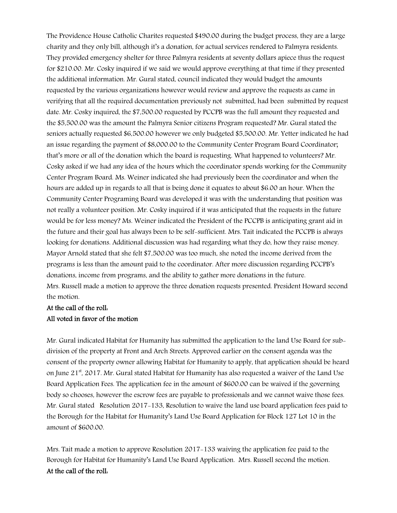The Providence House Catholic Charites requested \$490.00 during the budget process, they are a large charity and they only bill, although it's a donation, for actual services rendered to Palmyra residents. They provided emergency shelter for three Palmyra residents at seventy dollars apiece thus the request for \$210.00. Mr. Cosky inquired if we said we would approve everything at that time if they presented the additional information. Mr. Gural stated, council indicated they would budget the amounts requested by the various organizations however would review and approve the requests as came in verifying that all the required documentation previously not submitted, had been submitted by request date. Mr. Cosky inquired, the \$7,500.00 requested by PCCPB was the full amount they requested and the \$5,500.00 was the amount the Palmyra Senior citizens Program requested? Mr. Gural stated the seniors actually requested \$6,500.00 however we only budgeted \$5,500.00. Mr. Yetter indicated he had an issue regarding the payment of \$8,000.00 to the Community Center Program Board Coordinator; that's more or all of the donation which the board is requesting. What happened to volunteers? Mr. Cosky asked if we had any idea of the hours which the coordinator spends working for the Community Center Program Board. Ms. Weiner indicated she had previously been the coordinator and when the hours are added up in regards to all that is being done it equates to about \$6.00 an hour. When the Community Center Programing Board was developed it was with the understanding that position was not really a volunteer position. Mr. Cosky inquired if it was anticipated that the requests in the future would be for less money? Ms. Weiner indicated the President of the PCCPB is anticipating grant aid in the future and their goal has always been to be self-sufficient. Mrs. Tait indicated the PCCPB is always looking for donations. Additional discussion was had regarding what they do, how they raise money. Mayor Arnold stated that she felt \$7,500.00 was too much, she noted the income derived from the programs is less than the amount paid to the coordinator. After more discussion regarding PCCPB's donations, income from programs, and the ability to gather more donations in the future. Mrs. Russell made a motion to approve the three donation requests presented. President Howard second the motion.

# At the call of the roll: All voted in favor of the motion

Mr. Gural indicated Habitat for Humanity has submitted the application to the land Use Board for subdivision of the property at Front and Arch Streets. Approved earlier on the consent agenda was the consent of the property owner allowing Habitat for Humanity to apply, that application should be heard on June  $21<sup>st</sup>$ , 2017. Mr. Gural stated Habitat for Humanity has also requested a waiver of the Land Use Board Application Fees. The application fee in the amount of \$600.00 can be waived if the governing body so chooses, however the escrow fees are payable to professionals and we cannot waive those fees. Mr. Gural stated Resolution 2017-133, Resolution to waive the land use board application fees paid to the Borough for the Habitat for Humanity's Land Use Board Application for Block 127 Lot 10 in the amount of \$600.00.

Mrs. Tait made a motion to approve Resolution 2017-133 waiving the application fee paid to the Borough for Habitat for Humanity's Land Use Board Application. Mrs. Russell second the motion. At the call of the roll: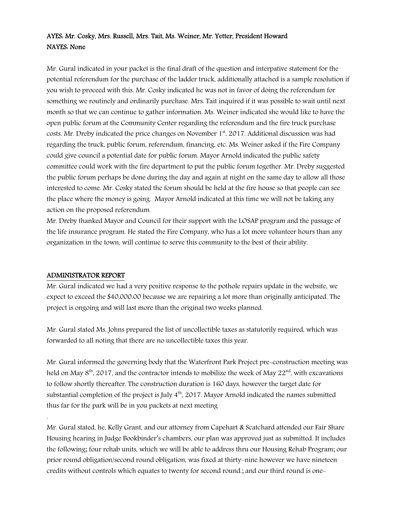# AYES: Mr. Cosky, Mrs. Russell, Mrs. Tait, Ms. Weiner, Mr. Yetter, President Howard NAYES: None

Mr. Gural indicated in your packet is the final draft of the question and interpative statement for the potential referendum for the purchase of the ladder truck, additionally attached is a sample resolution if you wish to proceed with this. Mr. Cosky indicated he was not in favor of doing the referendum for something we routinely and ordinarily purchase. Mrs. Tait inquired if it was possible to wait until next month so that we can continue to gather information. Ms. Weiner indicated she would like to have the open public forum at the Community Center regarding the referendum and the fire truck purchase costs. Mr. Dreby indicated the price changes on November 1st, 2017. Additional discussion was had regarding the truck, public forum, referendum, financing, etc. Ms. Weiner asked if the Fire Company could give council a potential date for public forum. Mayor Arnold indicated the public safety committee could work with the fire department to put the public forum together. Mr. Dreby suggested the public forum perhaps be done during the day and again at night on the same day to allow all those interested to come. Mr. Cosky stated the forum should be held at the fire house so that people can see the place where the money is going. Mayor Arnold indicated at this time we will not be taking any action on the proposed referendum.

Mr. Dreby thanked Mayor and Council for their support with the LOSAP program and the passage of the life insurance program. He stated the Fire Company, who has a lot more volunteer hours than any organization in the town, will continue to serve this community to the best of their ability.

## ADMINISTRATOR REPORT

.

Mr. Gural indicated we had a very positive response to the pothole repairs update in the website, we expect to exceed the \$40,000.00 because we are repairing a lot more than originally anticipated. The project is ongoing and will last more than the original two weeks planned.

Mr. Gural stated Ms. Johns prepared the list of uncollectible taxes as statutorily required, which was forwarded to all noting that there are no uncollectible taxes this year.

Mr. Gural informed the governing body that the Waterfront Park Project pre-construction meeting was held on May  $8<sup>th</sup>$ , 2017, and the contractor intends to mobilize the week of May 22<sup>nd</sup>, with excavations to follow shortly thereafter. The construction duration is 160 days, however the target date for substantial completion of the project is July  $4<sup>th</sup>$ , 2017. Mayor Arnold indicated the names submitted thus far for the park will be in you packets at next meeting

Mr. Gural stated, he, Kelly Grant, and our attorney from Capehart & Scatchard attended our Fair Share Housing hearing in Judge Bookbinder's chambers, our plan was approved just as submitted. It includes the following; four rehab units, which we will be able to address thru our Housing Rehab Program; our prior round obligation/second round obligation, was fixed at thirty–nine however we have nineteen credits without controls which equates to twenty for second round.; and our third round is one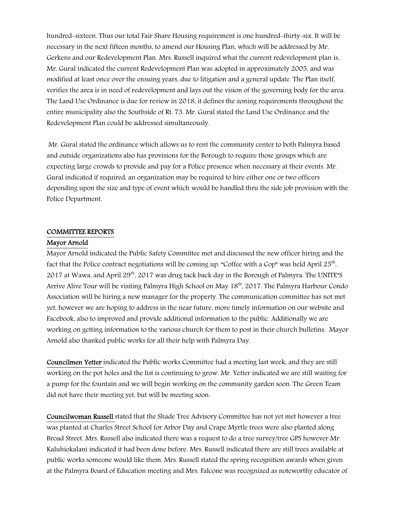hundred-sixteen. Thus our total Fair Share Housing requirement is one hundred-thirty-six. It will be necessary in the next fifteen months, to amend our Housing Plan, which will be addressed by Mr. Gerkens and our Redevelopment Plan. Mrs. Russell inquired what the current redevelopment plan is. Mr. Gural indicated the current Redevelopment Plan was adopted in approximately 2005, and was modified at least once over the ensuing years, due to litigation and a general update. The Plan itself, verifies the area is in need of redevelopment and lays out the vision of the governing body for the area. The Land Use Ordinance is due for review in 2018, it defines the zoning requirements throughout the entire municipality also the Southside of Rt. 73. Mr. Gural stated the Land Use Ordinance and the Redevelopment Plan could be addressed simultaneously.

 Mr. Gural stated the ordinance which allows us to rent the community center to both Palmyra based and outside organizations also has provisions for the Borough to require those groups which are expecting large crowds to provide and pay for a Police presence when necessary at their events. Mr. Gural indicated if required, an organization may be required to hire either one or two officers depending upon the size and type of event which would be handled thru the side job provision with the Police Department.

# COMMITTEE REPORTS

#### Mayor Arnold

Mayor Arnold indicated the Public Safety Committee met and discussed the new officer hiring and the fact that the Police contract negotiations will be coming up. "Coffee with a Cop" was held April 25<sup>th</sup>, 2017 at Wawa, and April 29<sup>th</sup>, 2017 was drug tack back day in the Borough of Palmyra. The UNITE<sup>r</sup>S Arrive Alive Tour will be visiting Palmyra High School on May 18<sup>th</sup>, 2017. The Palmyra Harbour Condo Association will be hiring a new manager for the property. The communication committee has not met yet, however we are hoping to address in the near future, more timely information on our website and Facebook, also to improved and provide additional information to the public. Additionally we are working on getting information to the various church for them to post in their church bulletins. Mayor Arnold also thanked public works for all their help with Palmyra Day.

Councilmen Yetter indicated the Public works Committee had a meeting last week, and they are still working on the pot holes and the list is continuing to grow. Mr. Yetter indicated we are still waiting for a pump for the fountain and we will begin working on the community garden soon. The Green Team did not have their meeting yet, but will be meeting soon.

Councilwoman Russell stated that the Shade Tree Advisory Committee has not yet met however a tree was planted at Charles Street School for Arbor Day and Crape Myrtle trees were also planted along Broad Street. Mrs. Russell also indicated there was a request to do a tree survey/tree GPS however Mr. Kaluhiokalani indicated it had been done before. Mrs. Russell indicated there are still trees available at public works someone would like them. Mrs. Russell stated the spring recognition awards when given at the Palmyra Board of Education meeting and Mrs. Falcone was recognized as noteworthy educator of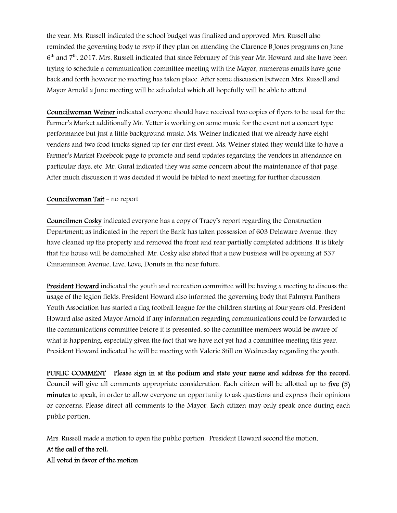the year. Ms. Russell indicated the school budget was finalized and approved. Mrs. Russell also reminded the governing body to rsvp if they plan on attending the Clarence B Jones programs on June 6<sup>th</sup> and 7<sup>th</sup>, 2017. Mrs. Russell indicated that since February of this year Mr. Howard and she have been trying to schedule a communication committee meeting with the Mayor, numerous emails have gone back and forth however no meeting has taken place. After some discussion between Mrs. Russell and Mayor Arnold a June meeting will be scheduled which all hopefully will be able to attend.

Councilwoman Weiner indicated everyone should have received two copies of flyers to be used for the Farmer's Market additionally Mr. Yetter is working on some music for the event not a concert type performance but just a little background music. Ms. Weiner indicated that we already have eight vendors and two food trucks signed up for our first event. Ms. Weiner stated they would like to have a Farmer's Market Facebook page to promote and send updates regarding the vendors in attendance on particular days, etc. Mr. Gural indicated they was some concern about the maintenance of that page. After much discussion it was decided it would be tabled to next meeting for further discussion.

#### Councilwoman Tait - no report

Councilmen Cosky indicated everyone has a copy of Tracy's report regarding the Construction Department; as indicated in the report the Bank has taken possession of 603 Delaware Avenue, they have cleaned up the property and removed the front and rear partially completed additions. It is likely that the house will be demolished. Mr. Cosky also stated that a new business will be opening at 537 Cinnaminson Avenue, Live, Love, Donuts in the near future.

President Howard indicated the youth and recreation committee will be having a meeting to discuss the usage of the legion fields. President Howard also informed the governing body that Palmyra Panthers Youth Association has started a flag football league for the children starting at four years old. President Howard also asked Mayor Arnold if any information regarding communications could be forwarded to the communications committee before it is presented, so the committee members would be aware of what is happening, especially given the fact that we have not yet had a committee meeting this year. President Howard indicated he will be meeting with Valerie Still on Wednesday regarding the youth.

PUBLIC COMMENT Please sign in at the podium and state your name and address for the record. Council will give all comments appropriate consideration. Each citizen will be allotted up to five (5) minutes to speak, in order to allow everyone an opportunity to ask questions and express their opinions or concerns. Please direct all comments to the Mayor. Each citizen may only speak once during each public portion.

Mrs. Russell made a motion to open the public portion. President Howard second the motion. At the call of the roll: All voted in favor of the motion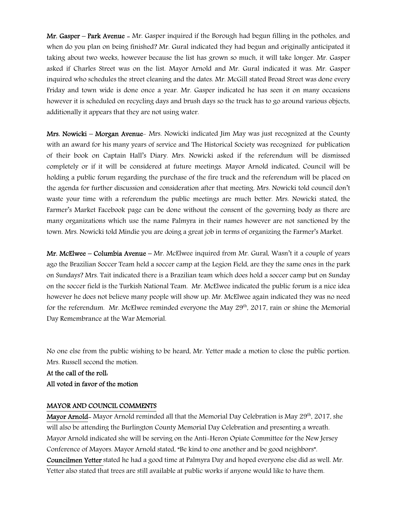Mr. Gasper – Park Avenue - Mr. Gasper inquired if the Borough had begun filling in the potholes, and when do you plan on being finished? Mr. Gural indicated they had begun and originally anticipated it taking about two weeks, however because the list has grown so much, it will take longer. Mr. Gasper asked if Charles Street was on the list. Mayor Arnold and Mr. Gural indicated it was. Mr. Gasper inquired who schedules the street cleaning and the dates. Mr. McGill stated Broad Street was done every Friday and town wide is done once a year. Mr. Gasper indicated he has seen it on many occasions however it is scheduled on recycling days and brush days so the truck has to go around various objects, additionally it appears that they are not using water.

Mrs. Nowicki – Morgan Avenue- Mrs. Nowicki indicated Jim May was just recognized at the County with an award for his many years of service and The Historical Society was recognized for publication of their book on Captain Hall's Diary. Mrs. Nowicki asked if the referendum will be dismissed completely or if it will be considered at future meetings. Mayor Arnold indicated, Council will be holding a public forum regarding the purchase of the fire truck and the referendum will be placed on the agenda for further discussion and consideration after that meeting. Mrs. Nowicki told council don't waste your time with a referendum the public meetings are much better. Mrs. Nowicki stated, the Farmer's Market Facebook page can be done without the consent of the governing body as there are many organizations which use the name Palmyra in their names however are not sanctioned by the town. Mrs. Nowicki told Mindie you are doing a great job in terms of organizing the Farmer's Market.

Mr. McElwee – Columbia Avenue – Mr. McElwee inquired from Mr. Gural, Wasn't it a couple of years ago the Brazilian Soccer Team held a soccer camp at the Legion Field, are they the same ones in the park on Sundays? Mrs. Tait indicated there is a Brazilian team which does hold a soccer camp but on Sunday on the soccer field is the Turkish National Team. Mr. McElwee indicated the public forum is a nice idea however he does not believe many people will show up. Mr. McElwee again indicated they was no need for the referendum. Mr. McElwee reminded everyone the May 29<sup>th</sup>, 2017, rain or shine the Memorial Day Remembrance at the War Memorial.

No one else from the public wishing to be heard, Mr. Yetter made a motion to close the public portion. Mrs. Russell second the motion.

At the call of the roll: All voted in favor of the motion

#### MAYOR AND COUNCIL COMMENTS

Mayor Arnold- Mayor Arnold reminded all that the Memorial Day Celebration is May 29<sup>th</sup>, 2017, she will also be attending the Burlington County Memorial Day Celebration and presenting a wreath. Mayor Arnold indicated she will be serving on the Anti-Heron Opiate Committee for the New Jersey Conference of Mayors. Mayor Arnold stated, "Be kind to one another and be good neighbors". Councilmen Yetter stated he had a good time at Palmyra Day and hoped everyone else did as well. Mr. Yetter also stated that trees are still available at public works if anyone would like to have them.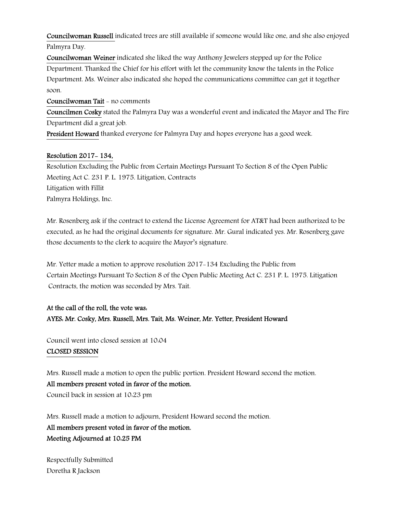Councilwoman Russell indicated trees are still available if someone would like one, and she also enjoyed Palmyra Day.

Councilwoman Weiner indicated she liked the way Anthony Jewelers stepped up for the Police Department. Thanked the Chief for his effort with let the community know the talents in the Police Department. Ms. Weiner also indicated she hoped the communications committee can get it together soon.

Councilwoman Tait - no comments

Councilmen Cosky stated the Palmyra Day was a wonderful event and indicated the Mayor and The Fire Department did a great job.

President Howard thanked everyone for Palmyra Day and hopes everyone has a good week.

## Resolution 2017- 134,

Resolution Excluding the Public from Certain Meetings Pursuant To Section 8 of the Open Public Meeting Act C. 231 P. L. 1975. Litigation, Contracts Litigation with Fillit Palmyra Holdings, Inc.

Mr. Rosenberg ask if the contract to extend the License Agreement for AT&T had been authorized to be executed, as he had the original documents for signature. Mr. Gural indicated yes. Mr. Rosenberg gave those documents to the clerk to acquire the Mayor's signature.

Mr. Yetter made a motion to approve resolution 2017-134 Excluding the Public from Certain Meetings Pursuant To Section 8 of the Open Public Meeting Act C. 231 P. L. 1975. Litigation Contracts, the motion was seconded by Mrs. Tait.

# At the call of the roll, the vote was: AYES: Mr. Cosky, Mrs. Russell, Mrs. Tait, Ms. Weiner, Mr. Yetter, President Howard

Council went into closed session at 10:04 CLOSED SESSION

Mrs. Russell made a motion to open the public portion. President Howard second the motion. All members present voted in favor of the motion. Council back in session at 10:23 pm

Mrs. Russell made a motion to adjourn, President Howard second the motion. All members present voted in favor of the motion. Meeting Adjourned at 10:25 PM

Respectfully Submitted Doretha R Jackson